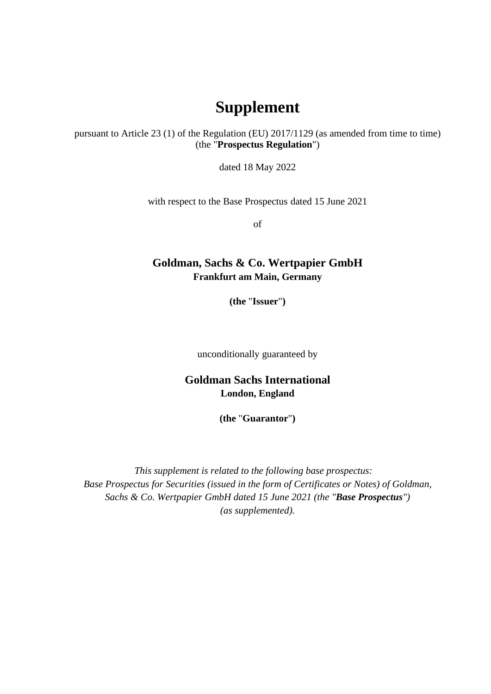## **Supplement**

pursuant to Article 23 (1) of the Regulation (EU) 2017/1129 (as amended from time to time) (the "**Prospectus Regulation**")

dated 18 May 2022

with respect to the Base Prospectus dated 15 June 2021

of

## **Goldman, Sachs & Co. Wertpapier GmbH Frankfurt am Main, Germany**

**(the** "**Issuer**"**)** 

unconditionally guaranteed by

## **Goldman Sachs International London, England**

**(the** "**Guarantor**"**)** 

*This supplement is related to the following base prospectus: Base Prospectus for Securities (issued in the form of Certificates or Notes) of Goldman, Sachs & Co. Wertpapier GmbH dated 15 June 2021 (the "Base Prospectus") (as supplemented).*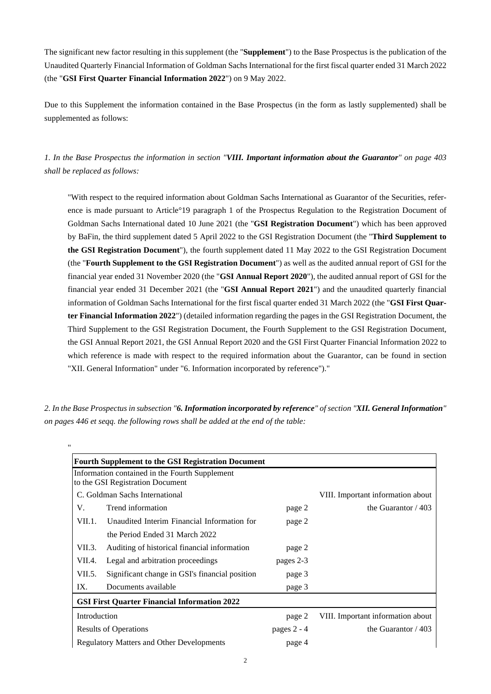The significant new factor resulting in this supplement (the "**Supplement**") to the Base Prospectus is the publication of the Unaudited Quarterly Financial Information of Goldman Sachs International for the first fiscal quarter ended 31 March 2022 (the "**GSI First Quarter Financial Information 2022**") on 9 May 2022.

Due to this Supplement the information contained in the Base Prospectus (in the form as lastly supplemented) shall be supplemented as follows:

*1. In the Base Prospectus the information in section "VIII. Important information about the Guarantor" on page 403 shall be replaced as follows:* 

"With respect to the required information about Goldman Sachs International as Guarantor of the Securities, reference is made pursuant to Article°19 paragraph 1 of the Prospectus Regulation to the Registration Document of Goldman Sachs International dated 10 June 2021 (the "**GSI Registration Document**") which has been approved by BaFin, the third supplement dated 5 April 2022 to the GSI Registration Document (the "**Third Supplement to the GSI Registration Document**"), the fourth supplement dated 11 May 2022 to the GSI Registration Document (the "**Fourth Supplement to the GSI Registration Document**") as well as the audited annual report of GSI for the financial year ended 31 November 2020 (the "**GSI Annual Report 2020**"), the audited annual report of GSI for the financial year ended 31 December 2021 (the "**GSI Annual Report 2021**") and the unaudited quarterly financial information of Goldman Sachs International for the first fiscal quarter ended 31 March 2022 (the "**GSI First Quarter Financial Information 2022**") (detailed information regarding the pages in the GSI Registration Document, the Third Supplement to the GSI Registration Document, the Fourth Supplement to the GSI Registration Document, the GSI Annual Report 2021, the GSI Annual Report 2020 and the GSI First Quarter Financial Information 2022 to which reference is made with respect to the required information about the Guarantor, can be found in section "XII. General Information" under "6. Information incorporated by reference")."

|                                                  | <b>Fourth Supplement to the GSI Registration Document</b>                          |               |                                   |
|--------------------------------------------------|------------------------------------------------------------------------------------|---------------|-----------------------------------|
|                                                  | Information contained in the Fourth Supplement<br>to the GSI Registration Document |               |                                   |
| C. Goldman Sachs International                   |                                                                                    |               | VIII. Important information about |
| V.                                               | Trend information                                                                  | page 2        | the Guarantor $/403$              |
| VII.1.                                           | Unaudited Interim Financial Information for                                        | page 2        |                                   |
|                                                  | the Period Ended 31 March 2022                                                     |               |                                   |
| VII.3.                                           | Auditing of historical financial information                                       | page 2        |                                   |
| VII.4.                                           | Legal and arbitration proceedings                                                  | pages 2-3     |                                   |
| VII.5.                                           | Significant change in GSI's financial position                                     | page 3        |                                   |
| IX.                                              | Documents available                                                                | page 3        |                                   |
|                                                  | <b>GSI First Quarter Financial Information 2022</b>                                |               |                                   |
| Introduction                                     |                                                                                    | page 2        | VIII. Important information about |
| <b>Results of Operations</b>                     |                                                                                    | pages $2 - 4$ | the Guarantor $/403$              |
| <b>Regulatory Matters and Other Developments</b> |                                                                                    | page 4        |                                   |
|                                                  |                                                                                    |               |                                   |

*2. In the Base Prospectus in subsection "6. Information incorporated by reference" of section "XII. General Information" on pages 446 et seqq. the following rows shall be added at the end of the table:* 

"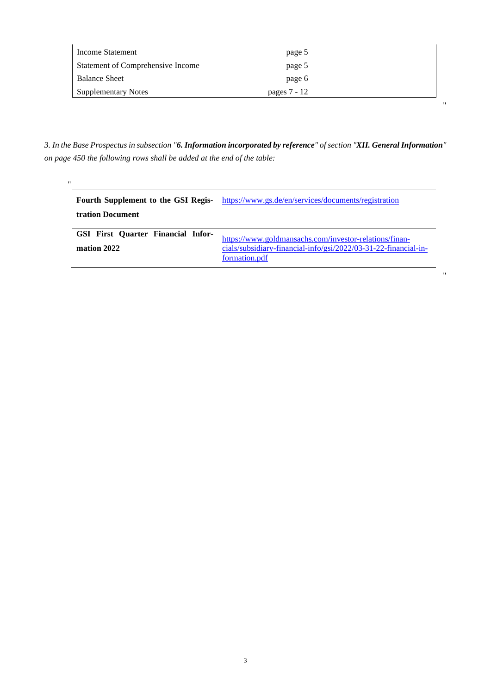| Income Statement                         | page 5       |  |
|------------------------------------------|--------------|--|
| <b>Statement of Comprehensive Income</b> | page 5       |  |
| <b>Balance Sheet</b>                     | page 6       |  |
| <b>Supplementary Notes</b>               | pages 7 - 12 |  |

 $\bar{\theta}$ 

"

*3. In the Base Prospectus in subsection "6. Information incorporated by reference" of section "XII. General Information" on page 450 the following rows shall be added at the end of the table:* 

"

| Fourth Supplement to the GSI Regis-<br><b>tration Document</b> | https://www.gs.de/en/services/documents/registration                                                                                       |
|----------------------------------------------------------------|--------------------------------------------------------------------------------------------------------------------------------------------|
| GSI First Quarter Financial Infor-<br>mation 2022              | https://www.goldmansachs.com/investor-relations/finan-<br>cials/subsidiary-financial-info/gsi/2022/03-31-22-financial-in-<br>formation.pdf |